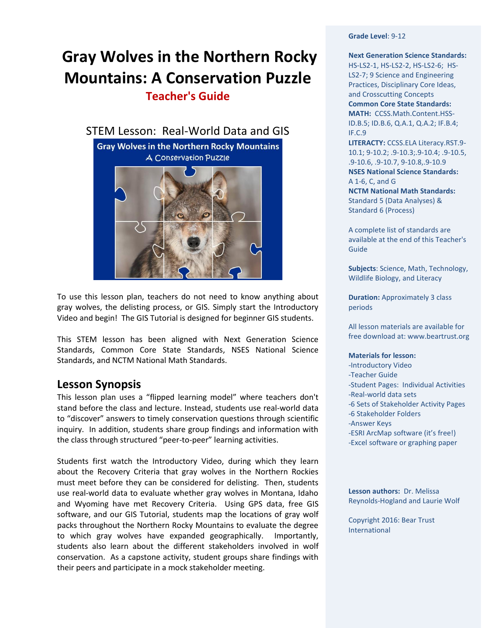# **Gray Wolves in the Northern Rocky Mountains: A Conservation Puzzle**

**Teacher's Guide** 





To use this lesson plan, teachers do not need to know anything about gray wolves, the delisting process, or GIS. Simply start the Introductory Video and begin! The GIS Tutorial is designed for beginner GIS students.

This STEM lesson has been aligned with Next Generation Science Standards, Common Core State Standards, NSES National Science Standards, and NCTM National Math Standards.

## **Lesson Synopsis**

This lesson plan uses a "flipped learning model" where teachers don't stand before the class and lecture. Instead, students use real-world data to "discover" answers to timely conservation questions through scientific inquiry. In addition, students share group findings and information with the class through structured "peer-to-peer" learning activities.

Students first watch the Introductory Video, during which they learn about the Recovery Criteria that gray wolves in the Northern Rockies must meet before they can be considered for delisting. Then, students use real-world data to evaluate whether gray wolves in Montana, Idaho and Wyoming have met Recovery Criteria. Using GPS data, free GIS software, and our GIS Tutorial, students map the locations of gray wolf packs throughout the Northern Rocky Mountains to evaluate the degree to which gray wolves have expanded geographically. Importantly, students also learn about the different stakeholders involved in wolf conservation. As a capstone activity, student groups share findings with their peers and participate in a mock stakeholder meeting.

**Grade Level**: 9-12

**Next Generation Science Standards:**  HS-LS2-1, HS-LS2-2, HS-LS2-6;HS-LS2-7; 9 Science and Engineering Practices, Disciplinary Core Ideas, and Crosscutting Concepts **Common Core State Standards: MATH:** [CCSS.Math.Content.HSS-](http://www.corestandards.org/Math/Content/HSS/ID/A/1)[ID.B.5;](http://www.corestandards.org/Math/Content/HSS/ID/B/5) [ID.B.6,](http://www.corestandards.org/Math/Content/HSS/ID/B/6) Q.A.1, Q.A.2; IF.B.4; IF.C.9

**LITERACTY:** [CCSS.ELA Literacy.RST.9-](http://www.corestandards.org/ELA-Literacy/RST/9-10/1/) [10.1;](http://www.corestandards.org/ELA-Literacy/RST/9-10/1/) 9-10.2; .9-10.3;.9-10.4; .9-10.5, .9-10.6, .9-10.7, 9-10.8,.9-10.9 **NSES National Science Standards:** A 1-6, C, and G

**NCTM National Math Standards:** Standard 5 (Data Analyses) & Standard 6 (Process)

A complete list of standards are available at the end of this Teacher's Guide

**Subjects**: Science, Math, Technology, Wildlife Biology, and Literacy

**Duration:** Approximately 3 class periods

All lesson materials are available for free download at: www.beartrust.org

#### **Materials for lesson:**

- -Introductory Video
- -Teacher Guide
- -Student Pages: Individual Activities
- -Real-world data sets
- -6 Sets of Stakeholder Activity Pages
- -6 Stakeholder Folders
- -Answer Keys
- -ESRI ArcMap software (it's free!)
- -Excel software or graphing paper

**Lesson authors:** Dr. Melissa Reynolds-Hogland and Laurie Wolf

Copyright 2016: Bear Trust International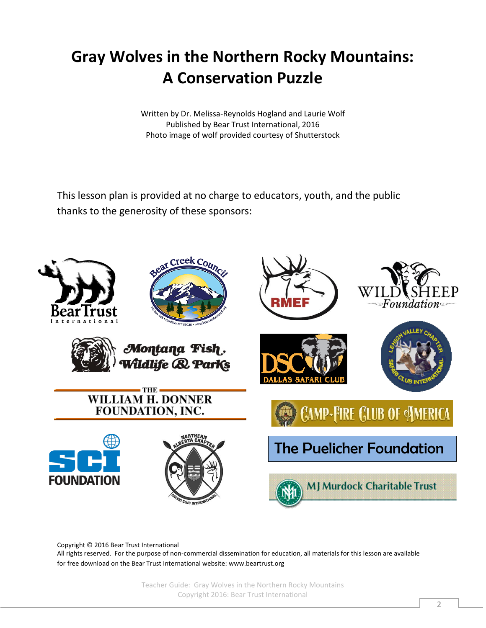# **Gray Wolves in the Northern Rocky Mountains: A Conservation Puzzle**

Written by Dr. Melissa-Reynolds Hogland and Laurie Wolf Published by Bear Trust International, 2016 Photo image of wolf provided courtesy of Shutterstock

This lesson plan is provided at no charge to educators, youth, and the public thanks to the generosity of these sponsors:



Copyright © 2016 Bear Trust International

All rights reserved. For the purpose of non-commercial dissemination for education, all materials for this lesson are available for free download on the Bear Trust International website[: www.beartrust.org](http://www.beartrust.org/)

> Teacher Guide: Gray Wolves in the Northern Rocky Mountains Copyright 2016: Bear Trust International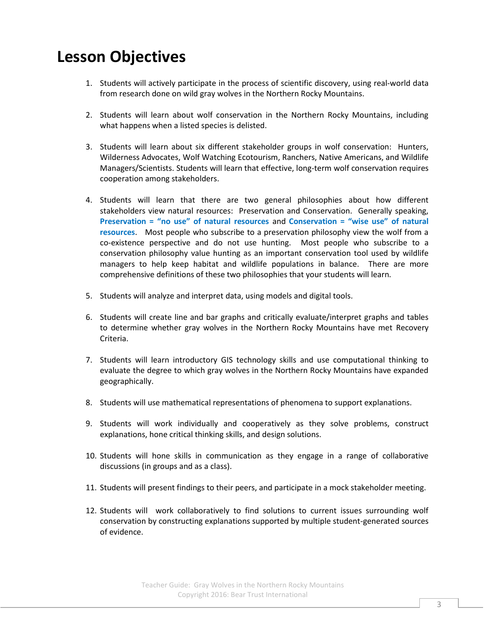# **Lesson Objectives**

- 1. Students will actively participate in the process of scientific discovery, using real-world data from research done on wild gray wolves in the Northern Rocky Mountains.
- 2. Students will learn about wolf conservation in the Northern Rocky Mountains, including what happens when a listed species is delisted.
- 3. Students will learn about six different stakeholder groups in wolf conservation: Hunters, Wilderness Advocates, Wolf Watching Ecotourism, Ranchers, Native Americans, and Wildlife Managers/Scientists. Students will learn that effective, long-term wolf conservation requires cooperation among stakeholders.
- 4. Students will learn that there are two general philosophies about how different stakeholders view natural resources: Preservation and Conservation. Generally speaking, **Preservation = "no use" of natural resources** and **Conservation = "wise use" of natural resources**. Most people who subscribe to a preservation philosophy view the wolf from a co-existence perspective and do not use hunting. Most people who subscribe to a conservation philosophy value hunting as an important conservation tool used by wildlife managers to help keep habitat and wildlife populations in balance. There are more comprehensive definitions of these two philosophies that your students will learn.
- 5. Students will analyze and interpret data, using models and digital tools.
- 6. Students will create line and bar graphs and critically evaluate/interpret graphs and tables to determine whether gray wolves in the Northern Rocky Mountains have met Recovery Criteria.
- 7. Students will learn introductory GIS technology skills and use computational thinking to evaluate the degree to which gray wolves in the Northern Rocky Mountains have expanded geographically.
- 8. Students will use mathematical representations of phenomena to support explanations.
- 9. Students will work individually and cooperatively as they solve problems, construct explanations, hone critical thinking skills, and design solutions.
- 10. Students will hone skills in communication as they engage in a range of collaborative discussions (in groups and as a class).
- 11. Students will present findings to their peers, and participate in a mock stakeholder meeting.
- 12. Students will work collaboratively to find solutions to current issues surrounding wolf conservation by constructing explanations supported by multiple student-generated sources of evidence.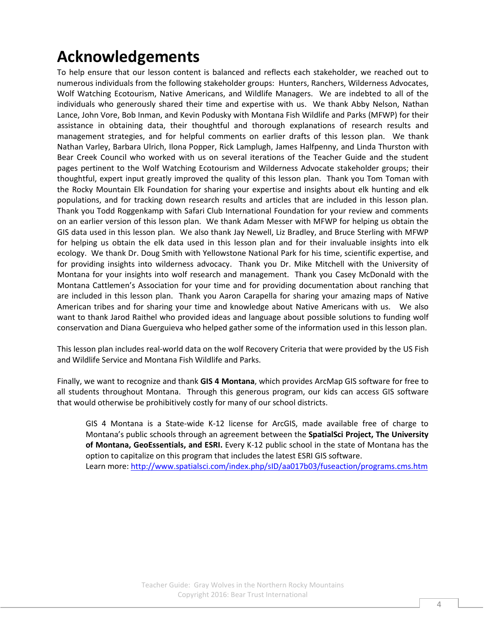# **Acknowledgements**

To help ensure that our lesson content is balanced and reflects each stakeholder, we reached out to numerous individuals from the following stakeholder groups: Hunters, Ranchers, Wilderness Advocates, Wolf Watching Ecotourism, Native Americans, and Wildlife Managers. We are indebted to all of the individuals who generously shared their time and expertise with us. We thank Abby Nelson, Nathan Lance, John Vore, Bob Inman, and Kevin Podusky with Montana Fish Wildlife and Parks (MFWP) for their assistance in obtaining data, their thoughtful and thorough explanations of research results and management strategies, and for helpful comments on earlier drafts of this lesson plan. We thank Nathan Varley, Barbara Ulrich, Ilona Popper, Rick Lamplugh, James Halfpenny, and Linda Thurston with Bear Creek Council who worked with us on several iterations of the Teacher Guide and the student pages pertinent to the Wolf Watching Ecotourism and Wilderness Advocate stakeholder groups; their thoughtful, expert input greatly improved the quality of this lesson plan. Thank you Tom Toman with the Rocky Mountain Elk Foundation for sharing your expertise and insights about elk hunting and elk populations, and for tracking down research results and articles that are included in this lesson plan. Thank you Todd Roggenkamp with Safari Club International Foundation for your review and comments on an earlier version of this lesson plan. We thank Adam Messer with MFWP for helping us obtain the GIS data used in this lesson plan. We also thank Jay Newell, Liz Bradley, and Bruce Sterling with MFWP for helping us obtain the elk data used in this lesson plan and for their invaluable insights into elk ecology. We thank Dr. Doug Smith with Yellowstone National Park for his time, scientific expertise, and for providing insights into wilderness advocacy. Thank you Dr. Mike Mitchell with the University of Montana for your insights into wolf research and management. Thank you Casey McDonald with the Montana Cattlemen's Association for your time and for providing documentation about ranching that are included in this lesson plan. Thank you Aaron Carapella for sharing your amazing maps of Native American tribes and for sharing your time and knowledge about Native Americans with us. We also want to thank Jarod Raithel who provided ideas and language about possible solutions to funding wolf conservation and Diana Guerguieva who helped gather some of the information used in this lesson plan.

This lesson plan includes real-world data on the wolf Recovery Criteria that were provided by the US Fish and Wildlife Service and Montana Fish Wildlife and Parks.

Finally, we want to recognize and thank **GIS 4 Montana**, which provides ArcMap GIS software for free to all students throughout Montana. Through this generous program, our kids can access GIS software that would otherwise be prohibitively costly for many of our school districts.

GIS 4 Montana is a State-wide K-12 license for ArcGIS, made available free of charge to Montana's public schools through an agreement between the **SpatialSci Project, The University of Montana, GeoEssentials, and ESRI.** Every K-12 public school in the state of Montana has the option to capitalize on this program that includes the latest ESRI GIS software. Learn more:<http://www.spatialsci.com/index.php/sID/aa017b03/fuseaction/programs.cms.htm>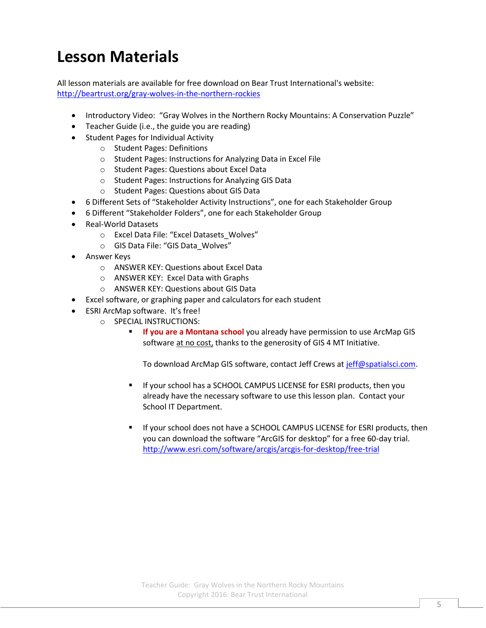# **Lesson Materials**

All lesson materials are available for free download on Bear Trust International's website: <http://beartrust.org/gray-wolves-in-the-northern-rockies>

- Introductory Video: "Gray Wolves in the Northern Rocky Mountains: A Conservation Puzzle"
- Teacher Guide (i.e., the guide you are reading)
- Student Pages for Individual Activity
	- o Student Pages: Definitions
	- o Student Pages: Instructions for Analyzing Data in Excel File
	- o Student Pages: Questions about Excel Data
	- o Student Pages: Instructions for Analyzing GIS Data
	- o Student Pages: Questions about GIS Data
- 6 Different Sets of "Stakeholder Activity Instructions", one for each Stakeholder Group
- 6 Different "Stakeholder Folders", one for each Stakeholder Group
- Real-World Datasets
	- o Excel Data File: "Excel Datasets\_Wolves"
	- o GIS Data File: "GIS Data\_Wolves"
- **•** Answer Keys
	- o ANSWER KEY: Questions about Excel Data
	- o ANSWER KEY: Excel Data with Graphs
	- o ANSWER KEY: Questions about GIS Data
- Excel software, or graphing paper and calculators for each student
- ESRI ArcMap software. It's free!
	- o SPECIAL INSTRUCTIONS:
		- **If you are a Montana school** you already have permission to use ArcMap GIS software at no cost, thanks to the generosity of GIS 4 MT Initiative.

To download ArcMap GIS software, contact Jeff Crews at [jeff@spatialsci.com.](mailto:jeff@spatialsci.com)

- If your school has a SCHOOL CAMPUS LICENSE for ESRI products, then you already have the necessary software to use this lesson plan. Contact your School IT Department.
- If your school does not have a SCHOOL CAMPUS LICENSE for ESRI products, then you can download the software "ArcGIS for desktop" for a free 60-day trial. <http://www.esri.com/software/arcgis/arcgis-for-desktop/free-trial>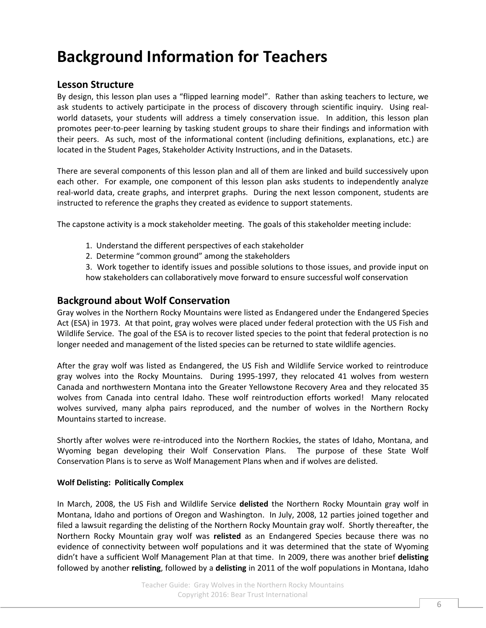# **Background Information for Teachers**

## **Lesson Structure**

By design, this lesson plan uses a "flipped learning model". Rather than asking teachers to lecture, we ask students to actively participate in the process of discovery through scientific inquiry. Using realworld datasets, your students will address a timely conservation issue. In addition, this lesson plan promotes peer-to-peer learning by tasking student groups to share their findings and information with their peers. As such, most of the informational content (including definitions, explanations, etc.) are located in the Student Pages, Stakeholder Activity Instructions, and in the Datasets.

There are several components of this lesson plan and all of them are linked and build successively upon each other. For example, one component of this lesson plan asks students to independently analyze real-world data, create graphs, and interpret graphs. During the next lesson component, students are instructed to reference the graphs they created as evidence to support statements.

The capstone activity is a mock stakeholder meeting. The goals of this stakeholder meeting include:

- 1. Understand the different perspectives of each stakeholder
- 2. Determine "common ground" among the stakeholders

3. Work together to identify issues and possible solutions to those issues, and provide input on how stakeholders can collaboratively move forward to ensure successful wolf conservation

### **Background about Wolf Conservation**

Gray wolves in the Northern Rocky Mountains were listed as Endangered under the Endangered Species Act (ESA) in 1973. At that point, gray wolves were placed under federal protection with the US Fish and Wildlife Service. The goal of the ESA is to recover listed species to the point that federal protection is no longer needed and management of the listed species can be returned to state wildlife agencies.

After the gray wolf was listed as Endangered, the US Fish and Wildlife Service worked to reintroduce gray wolves into the Rocky Mountains. During 1995-1997, they relocated 41 wolves from western Canada and northwestern Montana into the Greater Yellowstone Recovery Area and they relocated 35 wolves from Canada into central Idaho. These wolf reintroduction efforts worked! Many relocated wolves survived, many alpha pairs reproduced, and the number of wolves in the Northern Rocky Mountains started to increase.

Shortly after wolves were re-introduced into the Northern Rockies, the states of Idaho, Montana, and Wyoming began developing their Wolf Conservation Plans. The purpose of these State Wolf Conservation Plans is to serve as Wolf Management Plans when and if wolves are delisted.

#### **Wolf Delisting: Politically Complex**

In March, 2008, the US Fish and Wildlife Service **delisted** the Northern Rocky Mountain gray wolf in Montana, Idaho and portions of Oregon and Washington. In July, 2008, 12 parties joined together and filed a lawsuit regarding the delisting of the Northern Rocky Mountain gray wolf. Shortly thereafter, the Northern Rocky Mountain gray wolf was **relisted** as an Endangered Species because there was no evidence of connectivity between wolf populations and it was determined that the state of Wyoming didn't have a sufficient Wolf Management Plan at that time. In 2009, there was another brief **delisting** followed by another **relisting**, followed by a **delisting** in 2011 of the wolf populations in Montana, Idaho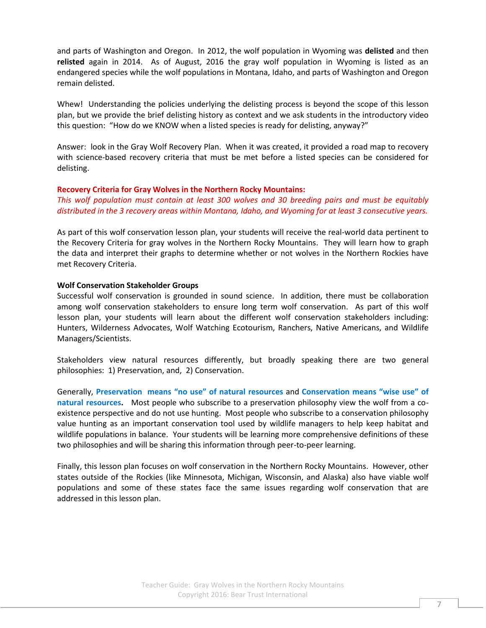and parts of Washington and Oregon. In 2012, the wolf population in Wyoming was **delisted** and then **relisted** again in 2014. As of August, 2016 the gray wolf population in Wyoming is listed as an endangered species while the wolf populations in Montana, Idaho, and parts of Washington and Oregon remain delisted.

Whew! Understanding the policies underlying the delisting process is beyond the scope of this lesson plan, but we provide the brief delisting history as context and we ask students in the introductory video this question: "How do we KNOW when a listed species is ready for delisting, anyway?"

Answer: look in the Gray Wolf Recovery Plan. When it was created, it provided a road map to recovery with science-based recovery criteria that must be met before a listed species can be considered for delisting.

#### **Recovery Criteria for Gray Wolves in the Northern Rocky Mountains:**

*This wolf population must contain at least 300 wolves and 30 breeding pairs and must be equitably distributed in the 3 recovery areas within Montana, Idaho, and Wyoming for at least 3 consecutive years.*

As part of this wolf conservation lesson plan, your students will receive the real-world data pertinent to the Recovery Criteria for gray wolves in the Northern Rocky Mountains. They will learn how to graph the data and interpret their graphs to determine whether or not wolves in the Northern Rockies have met Recovery Criteria.

#### **Wolf Conservation Stakeholder Groups**

Successful wolf conservation is grounded in sound science. In addition, there must be collaboration among wolf conservation stakeholders to ensure long term wolf conservation. As part of this wolf lesson plan, your students will learn about the different wolf conservation stakeholders including: Hunters, Wilderness Advocates, Wolf Watching Ecotourism, Ranchers, Native Americans, and Wildlife Managers/Scientists.

Stakeholders view natural resources differently, but broadly speaking there are two general philosophies: 1) Preservation, and, 2) Conservation.

Generally, **Preservation means "no use" of natural resources** and **Conservation means "wise use" of natural resources.** Most people who subscribe to a preservation philosophy view the wolf from a coexistence perspective and do not use hunting. Most people who subscribe to a conservation philosophy value hunting as an important conservation tool used by wildlife managers to help keep habitat and wildlife populations in balance. Your students will be learning more comprehensive definitions of these two philosophies and will be sharing this information through peer-to-peer learning.

Finally, this lesson plan focuses on wolf conservation in the Northern Rocky Mountains. However, other states outside of the Rockies (like Minnesota, Michigan, Wisconsin, and Alaska) also have viable wolf populations and some of these states face the same issues regarding wolf conservation that are addressed in this lesson plan.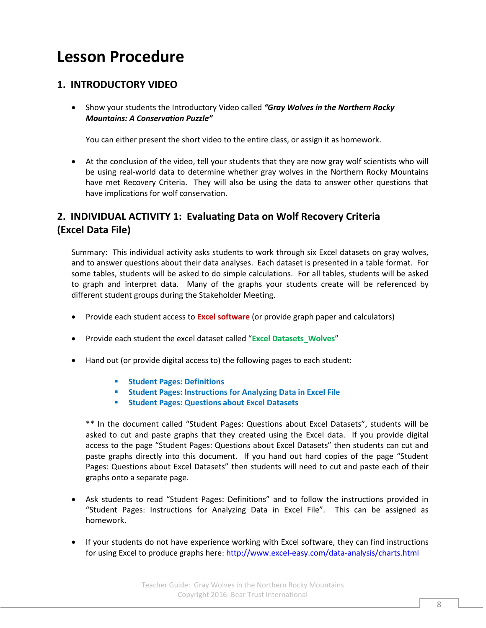# **Lesson Procedure**

## **1. INTRODUCTORY VIDEO**

 Show your students the Introductory Video called *"Gray Wolves in the Northern Rocky Mountains: A Conservation Puzzle"*

You can either present the short video to the entire class, or assign it as homework.

 At the conclusion of the video, tell your students that they are now gray wolf scientists who will be using real-world data to determine whether gray wolves in the Northern Rocky Mountains have met Recovery Criteria. They will also be using the data to answer other questions that have implications for wolf conservation.

## **2. INDIVIDUAL ACTIVITY 1: Evaluating Data on Wolf Recovery Criteria (Excel Data File)**

Summary: This individual activity asks students to work through six Excel datasets on gray wolves, and to answer questions about their data analyses. Each dataset is presented in a table format. For some tables, students will be asked to do simple calculations. For all tables, students will be asked to graph and interpret data. Many of the graphs your students create will be referenced by different student groups during the Stakeholder Meeting.

- Provide each student access to **Excel software** (or provide graph paper and calculators)
- Provide each student the excel dataset called "**Excel Datasets\_Wolves**"
- Hand out (or provide digital access to) the following pages to each student:
	- **F** Student Pages: Definitions
	- **F** Student Pages: Instructions for Analyzing Data in Excel File
	- **F** Student Pages: Questions about Excel Datasets

\*\* In the document called "Student Pages: Questions about Excel Datasets", students will be asked to cut and paste graphs that they created using the Excel data. If you provide digital access to the page "Student Pages: Questions about Excel Datasets" then students can cut and paste graphs directly into this document. If you hand out hard copies of the page "Student Pages: Questions about Excel Datasets" then students will need to cut and paste each of their graphs onto a separate page.

- Ask students to read "Student Pages: Definitions" and to follow the instructions provided in "Student Pages: Instructions for Analyzing Data in Excel File". This can be assigned as homework.
- If your students do not have experience working with Excel software, they can find instructions for using Excel to produce graphs here:<http://www.excel-easy.com/data-analysis/charts.html>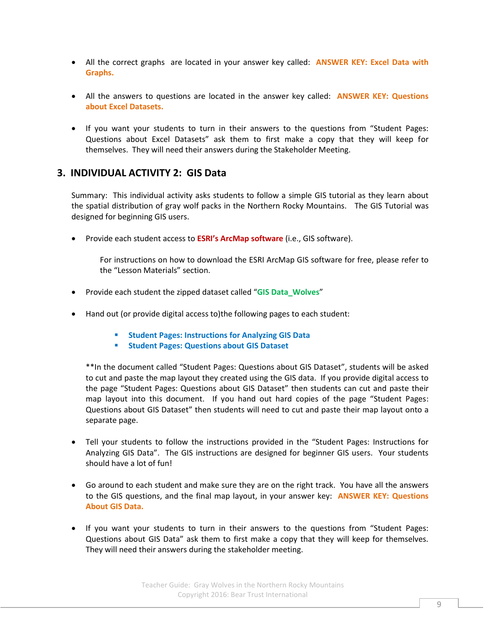- All the correct graphs are located in your answer key called: **ANSWER KEY: Excel Data with Graphs.**
- All the answers to questions are located in the answer key called: **ANSWER KEY: Questions about Excel Datasets.**
- If you want your students to turn in their answers to the questions from "Student Pages: Questions about Excel Datasets" ask them to first make a copy that they will keep for themselves. They will need their answers during the Stakeholder Meeting.

## **3. INDIVIDUAL ACTIVITY 2: GIS Data**

Summary: This individual activity asks students to follow a simple GIS tutorial as they learn about the spatial distribution of gray wolf packs in the Northern Rocky Mountains. The GIS Tutorial was designed for beginning GIS users.

Provide each student access to **ESRI's ArcMap software** (i.e., GIS software).

For instructions on how to download the ESRI ArcMap GIS software for free, please refer to the "Lesson Materials" section.

- Provide each student the zipped dataset called "**GIS Data\_Wolves**"
- Hand out (or provide digital access to)the following pages to each student:
	- **Student Pages: Instructions for Analyzing GIS Data**
	- **F** Student Pages: Questions about GIS Dataset

\*\*In the document called "Student Pages: Questions about GIS Dataset", students will be asked to cut and paste the map layout they created using the GIS data. If you provide digital access to the page "Student Pages: Questions about GIS Dataset" then students can cut and paste their map layout into this document. If you hand out hard copies of the page "Student Pages: Questions about GIS Dataset" then students will need to cut and paste their map layout onto a separate page.

- Tell your students to follow the instructions provided in the "Student Pages: Instructions for Analyzing GIS Data". The GIS instructions are designed for beginner GIS users. Your students should have a lot of fun!
- Go around to each student and make sure they are on the right track. You have all the answers to the GIS questions, and the final map layout, in your answer key: **ANSWER KEY: Questions About GIS Data.**
- If you want your students to turn in their answers to the questions from "Student Pages: Questions about GIS Data" ask them to first make a copy that they will keep for themselves. They will need their answers during the stakeholder meeting.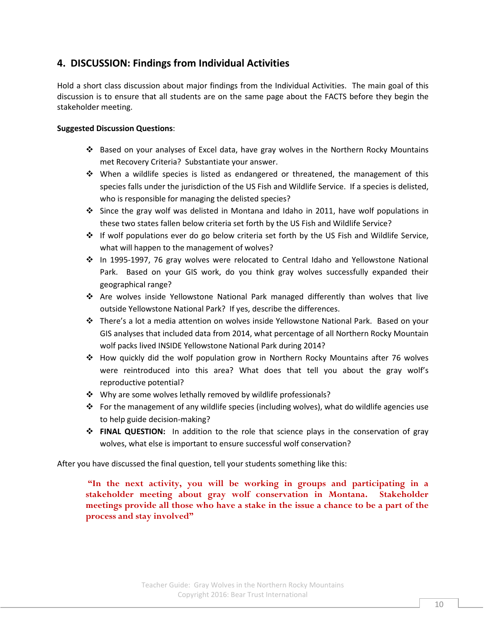## **4. DISCUSSION: Findings from Individual Activities**

Hold a short class discussion about major findings from the Individual Activities. The main goal of this discussion is to ensure that all students are on the same page about the FACTS before they begin the stakeholder meeting.

### **Suggested Discussion Questions**:

- Based on your analyses of Excel data, have gray wolves in the Northern Rocky Mountains met Recovery Criteria? Substantiate your answer.
- When a wildlife species is listed as endangered or threatened, the management of this species falls under the jurisdiction of the US Fish and Wildlife Service. If a species is delisted, who is responsible for managing the delisted species?
- Since the gray wolf was delisted in Montana and Idaho in 2011, have wolf populations in these two states fallen below criteria set forth by the US Fish and Wildlife Service?
- $\div$  If wolf populations ever do go below criteria set forth by the US Fish and Wildlife Service, what will happen to the management of wolves?
- In 1995-1997, 76 gray wolves were relocated to Central Idaho and Yellowstone National Park. Based on your GIS work, do you think gray wolves successfully expanded their geographical range?
- Are wolves inside Yellowstone National Park managed differently than wolves that live outside Yellowstone National Park? If yes, describe the differences.
- There's a lot a media attention on wolves inside Yellowstone National Park. Based on your GIS analyses that included data from 2014, what percentage of all Northern Rocky Mountain wolf packs lived INSIDE Yellowstone National Park during 2014?
- How quickly did the wolf population grow in Northern Rocky Mountains after 76 wolves were reintroduced into this area? What does that tell you about the gray wolf's reproductive potential?
- ❖ Why are some wolves lethally removed by wildlife professionals?
- For the management of any wildlife species (including wolves), what do wildlife agencies use to help guide decision-making?
- **FINAL QUESTION:** In addition to the role that science plays in the conservation of gray wolves, what else is important to ensure successful wolf conservation?

After you have discussed the final question, tell your students something like this:

**"In the next activity, you will be working in groups and participating in a stakeholder meeting about gray wolf conservation in Montana. Stakeholder meetings provide all those who have a stake in the issue a chance to be a part of the process and stay involved"**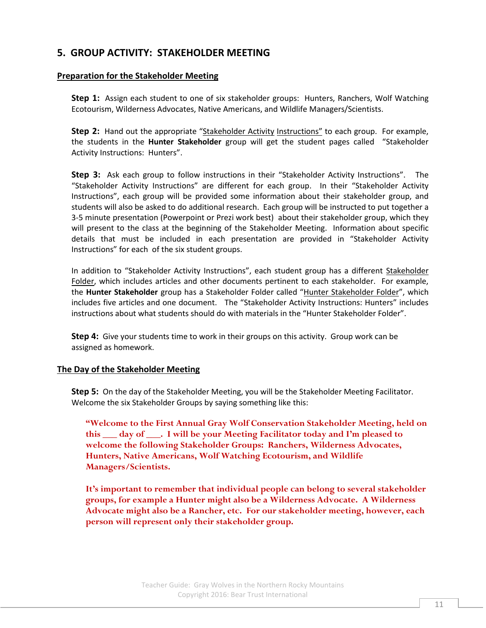## **5. GROUP ACTIVITY: STAKEHOLDER MEETING**

### **Preparation for the Stakeholder Meeting**

**Step 1:** Assign each student to one of six stakeholder groups: Hunters, Ranchers, Wolf Watching Ecotourism, Wilderness Advocates, Native Americans, and Wildlife Managers/Scientists.

**Step 2:** Hand out the appropriate "Stakeholder Activity Instructions" to each group. For example, the students in the **Hunter Stakeholder** group will get the student pages called "Stakeholder Activity Instructions: Hunters".

**Step 3:** Ask each group to follow instructions in their "Stakeholder Activity Instructions". The "Stakeholder Activity Instructions" are different for each group. In their "Stakeholder Activity Instructions", each group will be provided some information about their stakeholder group, and students will also be asked to do additional research. Each group will be instructed to put together a 3-5 minute presentation (Powerpoint or Prezi work best) about their stakeholder group, which they will present to the class at the beginning of the Stakeholder Meeting. Information about specific details that must be included in each presentation are provided in "Stakeholder Activity Instructions" for each of the six student groups.

In addition to "Stakeholder Activity Instructions", each student group has a different Stakeholder Folder, which includes articles and other documents pertinent to each stakeholder. For example, the **Hunter Stakeholder** group has a Stakeholder Folder called "Hunter Stakeholder Folder", which includes five articles and one document. The "Stakeholder Activity Instructions: Hunters" includes instructions about what students should do with materials in the "Hunter Stakeholder Folder".

**Step 4:** Give your students time to work in their groups on this activity. Group work can be assigned as homework.

#### **The Day of the Stakeholder Meeting**

**Step 5:** On the day of the Stakeholder Meeting, you will be the Stakeholder Meeting Facilitator. Welcome the six Stakeholder Groups by saying something like this:

**"Welcome to the First Annual Gray Wolf Conservation Stakeholder Meeting, held on this \_\_\_ day of \_\_\_. I will be your Meeting Facilitator today and I'm pleased to welcome the following Stakeholder Groups: Ranchers, Wilderness Advocates, Hunters, Native Americans, Wolf Watching Ecotourism, and Wildlife Managers/Scientists.**

**It's important to remember that individual people can belong to several stakeholder groups, for example a Hunter might also be a Wilderness Advocate. A Wilderness Advocate might also be a Rancher, etc. For our stakeholder meeting, however, each person will represent only their stakeholder group.**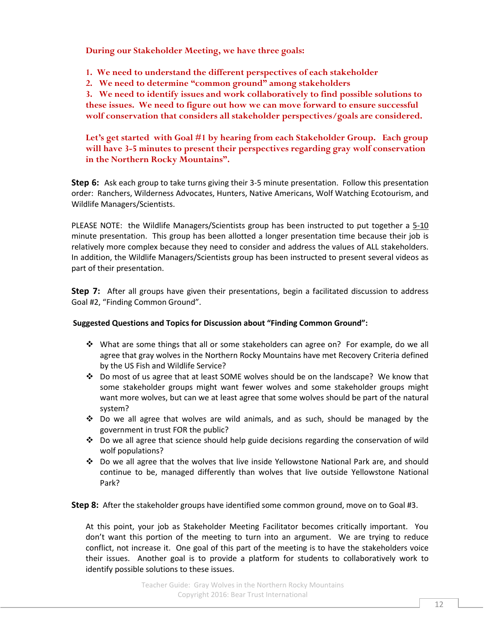**During our Stakeholder Meeting, we have three goals:**

**1. We need to understand the different perspectives of each stakeholder**

**2. We need to determine "common ground" among stakeholders**

**3. We need to identify issues and work collaboratively to find possible solutions to these issues. We need to figure out how we can move forward to ensure successful wolf conservation that considers all stakeholder perspectives/goals are considered.** 

**Let's get started with Goal #1 by hearing from each Stakeholder Group. Each group will have 3-5 minutes to present their perspectives regarding gray wolf conservation in the Northern Rocky Mountains".**

**Step 6:** Ask each group to take turns giving their 3-5 minute presentation. Follow this presentation order: Ranchers, Wilderness Advocates, Hunters, Native Americans, Wolf Watching Ecotourism, and Wildlife Managers/Scientists.

PLEASE NOTE: the Wildlife Managers/Scientists group has been instructed to put together a 5-10 minute presentation. This group has been allotted a longer presentation time because their job is relatively more complex because they need to consider and address the values of ALL stakeholders. In addition, the Wildlife Managers/Scientists group has been instructed to present several videos as part of their presentation.

**Step 7:** After all groups have given their presentations, begin a facilitated discussion to address Goal #2, "Finding Common Ground".

#### **Suggested Questions and Topics for Discussion about "Finding Common Ground":**

- What are some things that all or some stakeholders can agree on? For example, do we all agree that gray wolves in the Northern Rocky Mountains have met Recovery Criteria defined by the US Fish and Wildlife Service?
- \* Do most of us agree that at least SOME wolves should be on the landscape? We know that some stakeholder groups might want fewer wolves and some stakeholder groups might want more wolves, but can we at least agree that some wolves should be part of the natural system?
- Do we all agree that wolves are wild animals, and as such, should be managed by the government in trust FOR the public?
- \* Do we all agree that science should help guide decisions regarding the conservation of wild wolf populations?
- Do we all agree that the wolves that live inside Yellowstone National Park are, and should continue to be, managed differently than wolves that live outside Yellowstone National Park?

**Step 8:** After the stakeholder groups have identified some common ground, move on to Goal #3.

At this point, your job as Stakeholder Meeting Facilitator becomes critically important. You don't want this portion of the meeting to turn into an argument. We are trying to reduce conflict, not increase it. One goal of this part of the meeting is to have the stakeholders voice their issues. Another goal is to provide a platform for students to collaboratively work to identify possible solutions to these issues.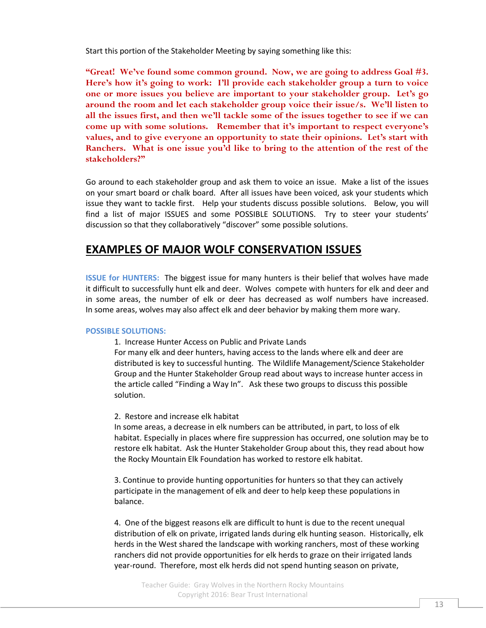Start this portion of the Stakeholder Meeting by saying something like this:

**"Great! We've found some common ground. Now, we are going to address Goal #3. Here's how it's going to work: I'll provide each stakeholder group a turn to voice one or more issues you believe are important to your stakeholder group. Let's go around the room and let each stakeholder group voice their issue/s. We'll listen to all the issues first, and then we'll tackle some of the issues together to see if we can come up with some solutions. Remember that it's important to respect everyone's values, and to give everyone an opportunity to state their opinions. Let's start with Ranchers. What is one issue you'd like to bring to the attention of the rest of the stakeholders?"**

Go around to each stakeholder group and ask them to voice an issue. Make a list of the issues on your smart board or chalk board. After all issues have been voiced, ask your students which issue they want to tackle first. Help your students discuss possible solutions. Below, you will find a list of major ISSUES and some POSSIBLE SOLUTIONS. Try to steer your students' discussion so that they collaboratively "discover" some possible solutions.

## **EXAMPLES OF MAJOR WOLF CONSERVATION ISSUES**

**ISSUE for HUNTERS:** The biggest issue for many hunters is their belief that wolves have made it difficult to successfully hunt elk and deer. Wolves compete with hunters for elk and deer and in some areas, the number of elk or deer has decreased as wolf numbers have increased. In some areas, wolves may also affect elk and deer behavior by making them more wary.

#### **POSSIBLE SOLUTIONS:**

1. Increase Hunter Access on Public and Private Lands

For many elk and deer hunters, having access to the lands where elk and deer are distributed is key to successful hunting. The Wildlife Management/Science Stakeholder Group and the Hunter Stakeholder Group read about ways to increase hunter access in the article called "Finding a Way In". Ask these two groups to discuss this possible solution.

#### 2. Restore and increase elk habitat

In some areas, a decrease in elk numbers can be attributed, in part, to loss of elk habitat. Especially in places where fire suppression has occurred, one solution may be to restore elk habitat. Ask the Hunter Stakeholder Group about this, they read about how the Rocky Mountain Elk Foundation has worked to restore elk habitat.

3. Continue to provide hunting opportunities for hunters so that they can actively participate in the management of elk and deer to help keep these populations in balance.

4. One of the biggest reasons elk are difficult to hunt is due to the recent unequal distribution of elk on private, irrigated lands during elk hunting season. Historically, elk herds in the West shared the landscape with working ranchers, most of these working ranchers did not provide opportunities for elk herds to graze on their irrigated lands year-round. Therefore, most elk herds did not spend hunting season on private,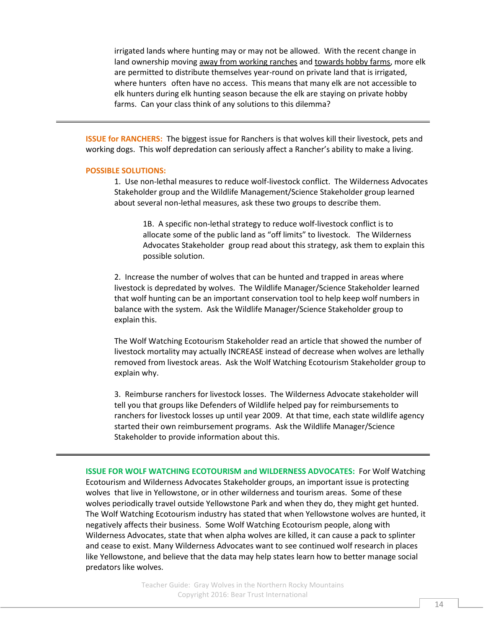irrigated lands where hunting may or may not be allowed. With the recent change in land ownership moving away from working ranches and towards hobby farms, more elk are permitted to distribute themselves year-round on private land that is irrigated, where hunters often have no access. This means that many elk are not accessible to elk hunters during elk hunting season because the elk are staying on private hobby farms. Can your class think of any solutions to this dilemma?

**ISSUE for RANCHERS:** The biggest issue for Ranchers is that wolves kill their livestock, pets and working dogs. This wolf depredation can seriously affect a Rancher's ability to make a living.

#### **POSSIBLE SOLUTIONS:**

1. Use non-lethal measures to reduce wolf-livestock conflict. The Wilderness Advocates Stakeholder group and the Wildlife Management/Science Stakeholder group learned about several non-lethal measures, ask these two groups to describe them.

1B. A specific non-lethal strategy to reduce wolf-livestock conflict is to allocate some of the public land as "off limits" to livestock. The Wilderness Advocates Stakeholder group read about this strategy, ask them to explain this possible solution.

2. Increase the number of wolves that can be hunted and trapped in areas where livestock is depredated by wolves. The Wildlife Manager/Science Stakeholder learned that wolf hunting can be an important conservation tool to help keep wolf numbers in balance with the system. Ask the Wildlife Manager/Science Stakeholder group to explain this.

The Wolf Watching Ecotourism Stakeholder read an article that showed the number of livestock mortality may actually INCREASE instead of decrease when wolves are lethally removed from livestock areas. Ask the Wolf Watching Ecotourism Stakeholder group to explain why.

3. Reimburse ranchers for livestock losses. The Wilderness Advocate stakeholder will tell you that groups like Defenders of Wildlife helped pay for reimbursements to ranchers for livestock losses up until year 2009. At that time, each state wildlife agency started their own reimbursement programs. Ask the Wildlife Manager/Science Stakeholder to provide information about this.

**ISSUE FOR WOLF WATCHING ECOTOURISM and WILDERNESS ADVOCATES:** For Wolf Watching Ecotourism and Wilderness Advocates Stakeholder groups, an important issue is protecting wolves that live in Yellowstone, or in other wilderness and tourism areas. Some of these wolves periodically travel outside Yellowstone Park and when they do, they might get hunted. The Wolf Watching Ecotourism industry has stated that when Yellowstone wolves are hunted, it negatively affects their business. Some Wolf Watching Ecotourism people, along with Wilderness Advocates, state that when alpha wolves are killed, it can cause a pack to splinter and cease to exist. Many Wilderness Advocates want to see continued wolf research in places like Yellowstone, and believe that the data may help states learn how to better manage social predators like wolves.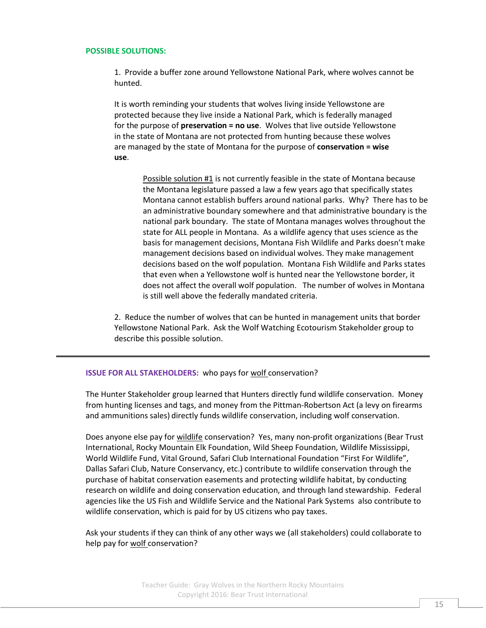#### **POSSIBLE SOLUTIONS:**

1. Provide a buffer zone around Yellowstone National Park, where wolves cannot be hunted.

It is worth reminding your students that wolves living inside Yellowstone are protected because they live inside a National Park, which is federally managed for the purpose of **preservation = no use**. Wolves that live outside Yellowstone in the state of Montana are not protected from hunting because these wolves are managed by the state of Montana for the purpose of **conservation = wise use**.

> Possible solution #1 is not currently feasible in the state of Montana because the Montana legislature passed a law a few years ago that specifically states Montana cannot establish buffers around national parks. Why? There has to be an administrative boundary somewhere and that administrative boundary is the national park boundary. The state of Montana manages wolves throughout the state for ALL people in Montana. As a wildlife agency that uses science as the basis for management decisions, Montana Fish Wildlife and Parks doesn't make management decisions based on individual wolves. They make management decisions based on the wolf population. Montana Fish Wildlife and Parks states that even when a Yellowstone wolf is hunted near the Yellowstone border, it does not affect the overall wolf population. The number of wolves in Montana is still well above the federally mandated criteria.

2. Reduce the number of wolves that can be hunted in management units that border Yellowstone National Park. Ask the Wolf Watching Ecotourism Stakeholder group to describe this possible solution.

#### **ISSUE FOR ALL STAKEHOLDERS:** who pays for wolf conservation?

The Hunter Stakeholder group learned that Hunters directly fund wildlife conservation. Money from hunting licenses and tags, and money from the Pittman-Robertson Act (a levy on firearms and ammunitions sales) directly funds wildlife conservation, including wolf conservation.

Does anyone else pay for wildlife conservation? Yes, many non-profit organizations (Bear Trust International, Rocky Mountain Elk Foundation, Wild Sheep Foundation, Wildlife Mississippi, World Wildlife Fund, Vital Ground, Safari Club International Foundation "First For Wildlife", Dallas Safari Club, Nature Conservancy, etc.) contribute to wildlife conservation through the purchase of habitat conservation easements and protecting wildlife habitat, by conducting research on wildlife and doing conservation education, and through land stewardship. Federal agencies like the US Fish and Wildlife Service and the National Park Systems also contribute to wildlife conservation, which is paid for by US citizens who pay taxes.

Ask your students if they can think of any other ways we (all stakeholders) could collaborate to help pay for wolf conservation?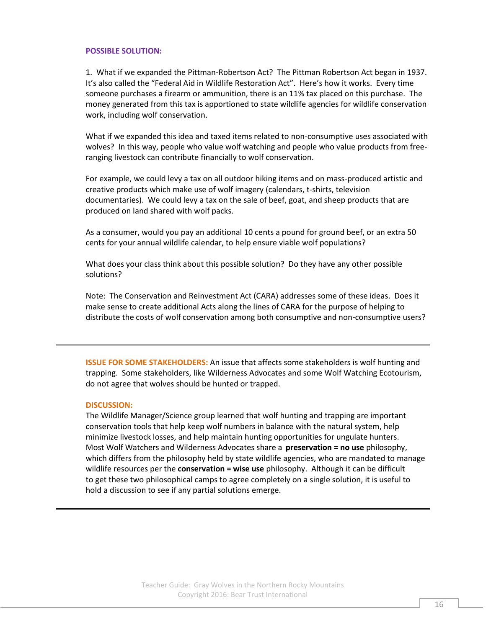#### **POSSIBLE SOLUTION:**

1. What if we expanded the Pittman-Robertson Act? The Pittman Robertson Act began in 1937. It's also called the "Federal Aid in Wildlife Restoration Act". Here's how it works. Every time someone purchases a firearm or ammunition, there is an 11% tax placed on this purchase. The money generated from this tax is apportioned to state wildlife agencies for wildlife conservation work, including wolf conservation.

What if we expanded this idea and taxed items related to non-consumptive uses associated with wolves? In this way, people who value wolf watching and people who value products from freeranging livestock can contribute financially to wolf conservation.

For example, we could levy a tax on all outdoor hiking items and on mass-produced artistic and creative products which make use of wolf imagery (calendars, t-shirts, television documentaries). We could levy a tax on the sale of beef, goat, and sheep products that are produced on land shared with wolf packs.

As a consumer, would you pay an additional 10 cents a pound for ground beef, or an extra 50 cents for your annual wildlife calendar, to help ensure viable wolf populations?

What does your class think about this possible solution? Do they have any other possible solutions?

Note: The Conservation and Reinvestment Act (CARA) addresses some of these ideas. Does it make sense to create additional Acts along the lines of CARA for the purpose of helping to distribute the costs of wolf conservation among both consumptive and non-consumptive users?

**ISSUE FOR SOME STAKEHOLDERS:** An issue that affects some stakeholders is wolf hunting and trapping. Some stakeholders, like Wilderness Advocates and some Wolf Watching Ecotourism, do not agree that wolves should be hunted or trapped.

#### **DISCUSSION:**

The Wildlife Manager/Science group learned that wolf hunting and trapping are important conservation tools that help keep wolf numbers in balance with the natural system, help minimize livestock losses, and help maintain hunting opportunities for ungulate hunters. Most Wolf Watchers and Wilderness Advocates share a **preservation = no use** philosophy, which differs from the philosophy held by state wildlife agencies, who are mandated to manage wildlife resources per the **conservation = wise use** philosophy. Although it can be difficult to get these two philosophical camps to agree completely on a single solution, it is useful to hold a discussion to see if any partial solutions emerge.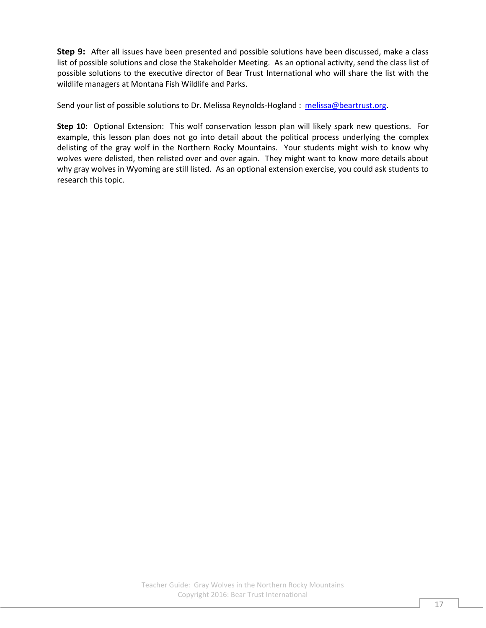**Step 9:** After all issues have been presented and possible solutions have been discussed, make a class list of possible solutions and close the Stakeholder Meeting. As an optional activity, send the class list of possible solutions to the executive director of Bear Trust International who will share the list with the wildlife managers at Montana Fish Wildlife and Parks.

Send your list of possible solutions to Dr. Melissa Reynolds-Hogland : [melissa@beartrust.org.](mailto:melissa@beartrust.org)

**Step 10:** Optional Extension: This wolf conservation lesson plan will likely spark new questions. For example, this lesson plan does not go into detail about the political process underlying the complex delisting of the gray wolf in the Northern Rocky Mountains. Your students might wish to know why wolves were delisted, then relisted over and over again. They might want to know more details about why gray wolves in Wyoming are still listed. As an optional extension exercise, you could ask students to research this topic.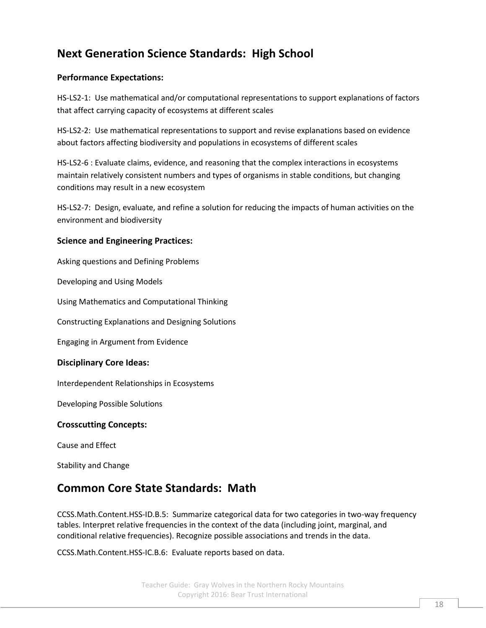# **Next Generation Science Standards: High School**

### **Performance Expectations:**

HS-LS2-1: Use mathematical and/or computational representations to support explanations of factors that affect carrying capacity of ecosystems at different scales

HS-LS2-2: Use mathematical representations to support and revise explanations based on evidence about factors affecting biodiversity and populations in ecosystems of different scales

HS-LS2-6 : Evaluate claims, evidence, and reasoning that the complex interactions in ecosystems maintain relatively consistent numbers and types of organisms in stable conditions, but changing conditions may result in a new ecosystem

HS-LS2-7: Design, evaluate, and refine a solution for reducing the impacts of human activities on the environment and biodiversity

### **Science and Engineering Practices:**

Asking questions and Defining Problems

Developing and Using Models

Using Mathematics and Computational Thinking

Constructing Explanations and Designing Solutions

Engaging in Argument from Evidence

### **Disciplinary Core Ideas:**

Interdependent Relationships in Ecosystems

Developing Possible Solutions

### **Crosscutting Concepts:**

Cause and Effect

Stability and Change

## **Common Core State Standards: Math**

[CCSS.Math.Content.HSS-ID.B.5:](http://www.corestandards.org/Math/Content/HSS/ID/B/5) Summarize categorical data for two categories in two-way frequency tables. Interpret relative frequencies in the context of the data (including joint, marginal, and conditional relative frequencies). Recognize possible associations and trends in the data.

[CCSS.Math.Content.HSS-IC.B.6:](http://www.corestandards.org/Math/Content/HSS/IC/B/6) Evaluate reports based on data.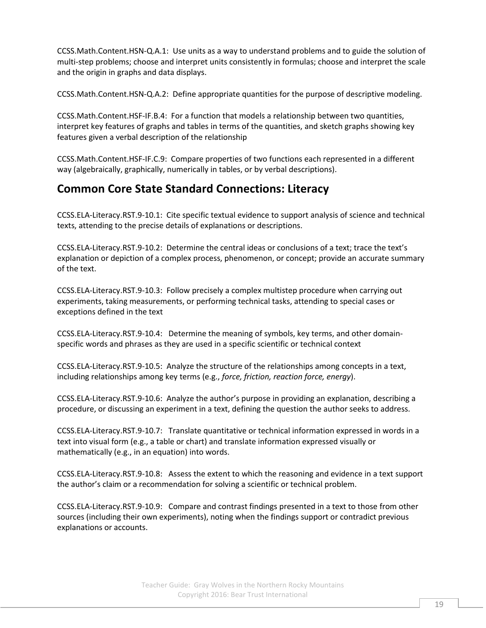[CCSS.Math.Content.HSN-Q.A.1:](http://www.corestandards.org/Math/Content/HSN/Q/A/1) Use units as a way to understand problems and to guide the solution of multi-step problems; choose and interpret units consistently in formulas; choose and interpret the scale and the origin in graphs and data displays.

[CCSS.Math.Content.HSN-Q.A.2:](http://www.corestandards.org/Math/Content/HSN/Q/A/2) Define appropriate quantities for the purpose of descriptive modeling.

[CCSS.Math.Content.HSF-IF.B.4:](http://www.corestandards.org/Math/Content/HSF/IF/B/4) For a function that models a relationship between two quantities, interpret key features of graphs and tables in terms of the quantities, and sketch graphs showing key features given a verbal description of the relationship

[CCSS.Math.Content.HSF-IF.C.9:](http://www.corestandards.org/Math/Content/HSF/IF/C/9) Compare properties of two functions each represented in a different way (algebraically, graphically, numerically in tables, or by verbal descriptions).

## **Common Core State Standard Connections: Literacy**

[CCSS.ELA-Literacy.RST.9-10.1:](http://www.corestandards.org/ELA-Literacy/RST/9-10/1/) Cite specific textual evidence to support analysis of science and technical texts, attending to the precise details of explanations or descriptions.

[CCSS.ELA-Literacy.RST.9-10.2:](http://www.corestandards.org/ELA-Literacy/RST/9-10/2/) Determine the central ideas or conclusions of a text; trace the text's explanation or depiction of a complex process, phenomenon, or concept; provide an accurate summary of the text.

[CCSS.ELA-Literacy.RST.9-10.3:](http://www.corestandards.org/ELA-Literacy/RST/9-10/3/) Follow precisely a complex multistep procedure when carrying out experiments, taking measurements, or performing technical tasks, attending to special cases or exceptions defined in the text

[CCSS.ELA-Literacy.RST.9-10.4:](http://www.corestandards.org/ELA-Literacy/RST/9-10/4/) Determine the meaning of symbols, key terms, and other domainspecific words and phrases as they are used in a specific scientific or technical context

[CCSS.ELA-Literacy.RST.9-10.5:](http://www.corestandards.org/ELA-Literacy/RST/9-10/5/) Analyze the structure of the relationships among concepts in a text, including relationships among key terms (e.g., *force, friction, reaction force, energy*).

[CCSS.ELA-Literacy.RST.9-10.6:](http://www.corestandards.org/ELA-Literacy/RST/9-10/6/) Analyze the author's purpose in providing an explanation, describing a procedure, or discussing an experiment in a text, defining the question the author seeks to address.

[CCSS.ELA-Literacy.RST.9-10.7:](http://www.corestandards.org/ELA-Literacy/RST/9-10/7/) Translate quantitative or technical information expressed in words in a text into visual form (e.g., a table or chart) and translate information expressed visually or mathematically (e.g., in an equation) into words.

[CCSS.ELA-Literacy.RST.9-10.8:](http://www.corestandards.org/ELA-Literacy/RST/9-10/8/) Assess the extent to which the reasoning and evidence in a text support the author's claim or a recommendation for solving a scientific or technical problem.

[CCSS.ELA-Literacy.RST.9-10.9:](http://www.corestandards.org/ELA-Literacy/RST/9-10/9/) Compare and contrast findings presented in a text to those from other sources (including their own experiments), noting when the findings support or contradict previous explanations or accounts.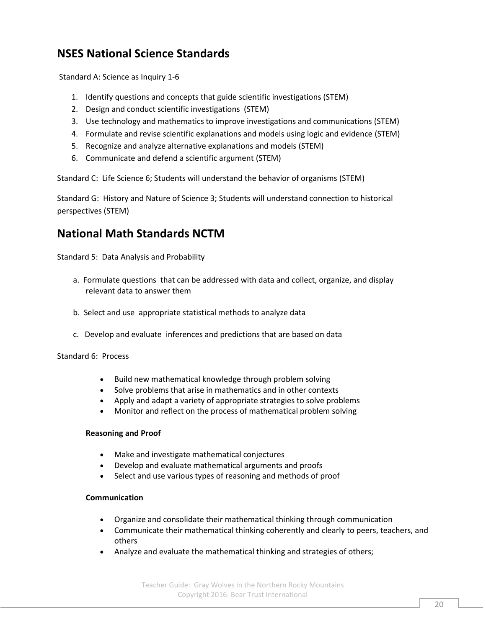# **NSES National Science Standards**

Standard A: Science as Inquiry 1-6

- 1. Identify questions and concepts that guide scientific investigations (STEM)
- 2. Design and conduct scientific investigations (STEM)
- 3. Use technology and mathematics to improve investigations and communications (STEM)
- 4. Formulate and revise scientific explanations and models using logic and evidence (STEM)
- 5. Recognize and analyze alternative explanations and models (STEM)
- 6. Communicate and defend a scientific argument (STEM)

Standard C: Life Science 6; Students will understand the behavior of organisms (STEM)

Standard G: History and Nature of Science 3; Students will understand connection to historical perspectives (STEM)

## **National Math Standards NCTM**

Standard 5: Data Analysis and Probability

- a. [Formulate questions](http://www.nctm.org/standards/content.aspx?id=318#formulate) that can be addressed with data and collect, organize, and display relevant data to answer them
- b. [Select and use](http://www.nctm.org/standards/content.aspx?id=318#select) appropriate statistical methods to analyze data
- c. [Develop and evaluate](http://www.nctm.org/standards/content.aspx?id=318#develop) inferences and predictions that are based on data

Standard 6: Process

- Build new mathematical knowledge through problem solving
- Solve problems that arise in mathematics and in other contexts
- Apply and adapt a variety of appropriate strategies to solve problems
- Monitor and reflect on the process of mathematical problem solving

#### **Reasoning and Proof**

- Make and investigate mathematical conjectures
- Develop and evaluate mathematical arguments and proofs
- Select and use various types of reasoning and methods of proof

#### **Communication**

- Organize and consolidate their mathematical thinking through communication
- Communicate their mathematical thinking coherently and clearly to peers, teachers, and others
- Analyze and evaluate the mathematical thinking and strategies of others;